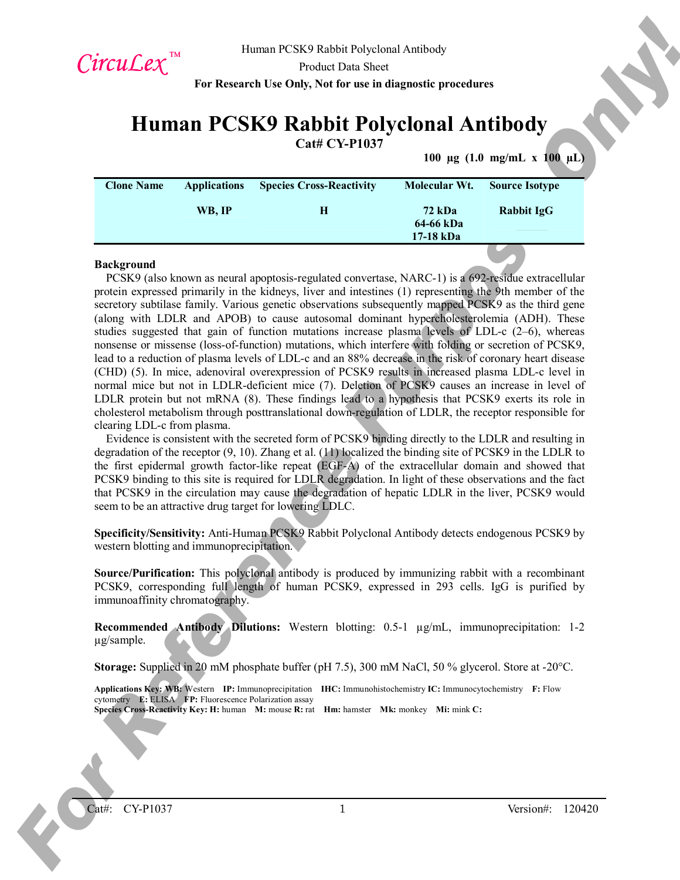

**Cat# CY-P1037**

**100 µg (1.0 mg/mL x 100 µL)**

| <b>Applications</b> | <b>Species Cross-Reactivity</b> | Molecular Wt.              | <b>Source Isotype</b> |
|---------------------|---------------------------------|----------------------------|-----------------------|
| WB. IP              | н                               | <b>72 kDa</b><br>64-66 kDa | <b>Rabbit IgG</b>     |
|                     |                                 |                            | 17-18 kDa             |

#### **Background**

Circuit  $L'xx^{\text{min}}$  there is exact the sole for the signal of exact but a bit can be exact that the exact of the signal of the signal of the signal of the signal of the signal of the signal of the signal of the signal of PCSK9 (also known as neural apoptosis-regulated convertase, NARC-1) is a 692-residue extracellular protein expressed primarily in the kidneys, liver and intestines (1) representing the 9th member of the secretory subtilase family. Various genetic observations subsequently mapped PCSK9 as the third gene (along with LDLR and APOB) to cause autosomal dominant hypercholesterolemia (ADH). These studies suggested that gain of function mutations increase plasma levels of LDL-c  $(2-6)$ , whereas nonsense or missense (loss-of-function) mutations, which interfere with folding or secretion of PCSK9, lead to a reduction of plasma levels of LDL-c and an 88% decrease in the risk of coronary heart disease (CHD) (5). In mice, adenoviral overexpression of PCSK9 results in increased plasma LDL-c level in normal mice but not in LDLR-deficient mice (7). Deletion of PCSK9 causes an increase in level of LDLR protein but not mRNA (8). These findings lead to a hypothesis that PCSK9 exerts its role in cholesterol metabolism through posttranslational down-regulation of LDLR, the receptor responsible for clearing LDL-c from plasma.

Evidence is consistent with the secreted form of PCSK9 binding directly to the LDLR and resulting in degradation of the receptor (9, 10). Zhang et al. (11) localized the binding site of PCSK9 in the LDLR to the first epidermal growth factor-like repeat (EGF-A) of the extracellular domain and showed that PCSK9 binding to this site is required for LDLR degradation. In light of these observations and the fact that PCSK9 in the circulation may cause the degradation of hepatic LDLR in the liver, PCSK9 would seem to be an attractive drug target for lowering LDLC.

**Specificity/Sensitivity:** Anti-Human PCSK9 Rabbit Polyclonal Antibody detects endogenous PCSK9 by western blotting and immunoprecipitation.

**Source/Purification:** This polyclonal antibody is produced by immunizing rabbit with a recombinant PCSK9, corresponding full length of human PCSK9, expressed in 293 cells. IgG is purified by immunoaffinity chromatography.

**Recommended Antibody Dilutions:** Western blotting: 0.5-1 µg/mL, immunoprecipitation: 1-2 µg/sample.

**Storage:** Supplied in 20 mM phosphate buffer (pH 7.5), 300 mM NaCl, 50 % glycerol. Store at -20°C.

**Applications Key: WB:** Western **IP:** Immunoprecipitation **IHC:** Immunohistochemistry **IC:** Immunocytochemistry **F:** Flow cytometry **E:** ELISA **FP:** Fluorescence Polarization assay

**Species Cross-Reactivity Key: H:** human **M:** mouse **R:** rat **Hm:** hamster **Mk:** monkey **Mi:** mink **C:**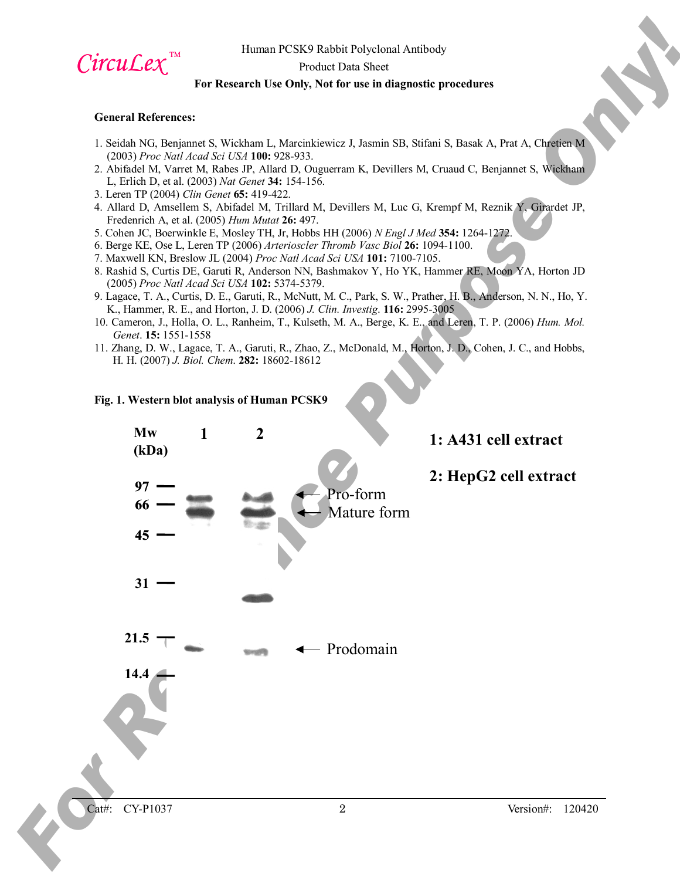

Product Data Sheet

### **For Research Use Only, Not for use in diagnostic procedures**

#### **General References:**

- 1. Seidah NG, Benjannet S, Wickham L, Marcinkiewicz J, Jasmin SB, Stifani S, Basak A, Prat A, Chretien M (2003) *Proc Natl Acad Sci USA* **100:** 928-933.
- 2. Abifadel M, Varret M, Rabes JP, Allard D, Ouguerram K, Devillers M, Cruaud C, Benjannet S, Wickham L, Erlich D, et al. (2003) *Nat Genet* **34:** 154-156.
- 3. Leren TP (2004) *Clin Genet* **65:** 419-422.
- 4. Allard D, Amsellem S, Abifadel M, Trillard M, Devillers M, Luc G, Krempf M, Reznik Y, Girardet JP, Fredenrich A, et al. (2005) *Hum Mutat* **26:** 497.
- 5. Cohen JC, Boerwinkle E, Mosley TH, Jr, Hobbs HH (2006) *N Engl J Med* **354:** 1264-1272.
- 6. Berge KE, Ose L, Leren TP (2006) *Arterioscler Thromb Vasc Biol* **26:** 1094-1100.
- 7. Maxwell KN, Breslow JL (2004) *Proc Natl Acad Sci USA* **101:** 7100-7105.
- 8. Rashid S, Curtis DE, Garuti R, Anderson NN, Bashmakov Y, Ho YK, Hammer RE, Moon YA, Horton JD (2005) *Proc Natl Acad Sci USA* **102:** 5374-5379.
- 9. Lagace, T. A., Curtis, D. E., Garuti, R., McNutt, M. C., Park, S. W., Prather, H. B., Anderson, N. N., Ho, Y. K., Hammer, R. E., and Horton, J. D. (2006) *J. Clin. Investig*. **116:** 2995-3005
- 10. Cameron, J., Holla, O. L., Ranheim, T., Kulseth, M. A., Berge, K. E., and Leren, T. P. (2006) *Hum. Mol. Genet*. **15:** 1551-1558
- 11. Zhang, D. W., Lagace, T. A., Garuti, R., Zhao, Z., McDonald, M., Horton, J. D., Cohen, J. C., and Hobbs, H. H. (2007) *J. Biol. Chem*. **282:** 18602-18612

#### **Fig. 1. Western blot analysis of Human PCSK9**

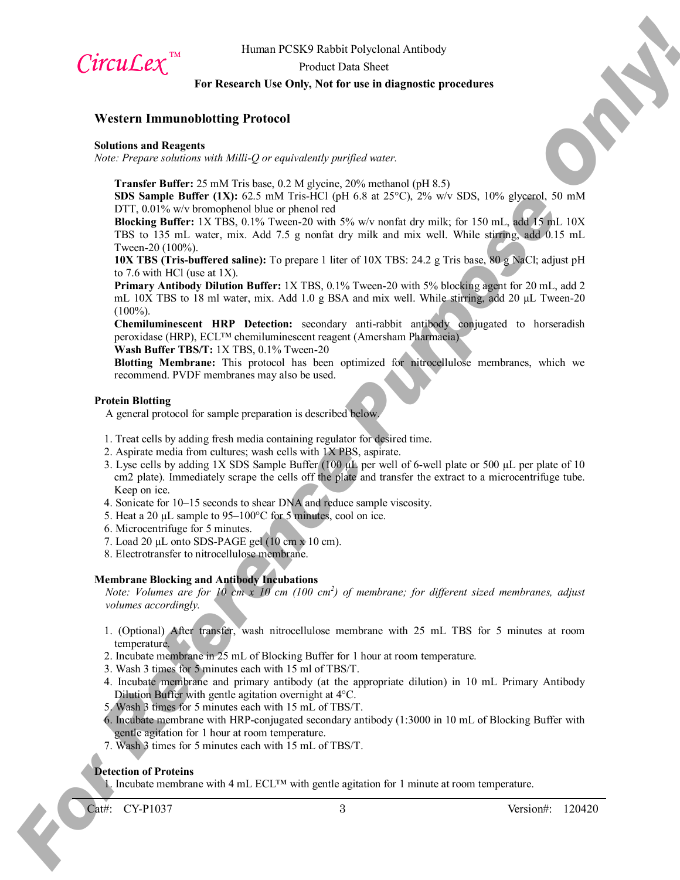

Product Data Sheet

# **For Research Use Only, Not for use in diagnostic procedures**

## **Western Immunoblotting Protocol**

#### **Solutions and Reagents**

*Note: Prepare solutions with Milli-Q or equivalently purified water.*

**Transfer Buffer:** 25 mM Tris base, 0.2 M glycine, 20% methanol (pH 8.5)

**SDS Sample Buffer (1X):** 62.5 mM Tris-HCl (pH 6.8 at 25°C), 2% w/v SDS, 10% glycerol, 50 mM DTT,  $0.01\%$  w/v bromophenol blue or phenol red

**Blocking Buffer:** 1X TBS, 0.1% Tween-20 with 5% w/v nonfat dry milk; for 150 mL, add 15 mL 10X TBS to 135 mL water, mix. Add 7.5 g nonfat dry milk and mix well. While stirring, add 0.15 mL Tween-20 (100%).

**10X TBS (Tris-buffered saline):** To prepare 1 liter of 10X TBS: 24.2 g Tris base, 80 g NaCl; adjust pH to 7.6 with HCl (use at 1X).

**Primary Antibody Dilution Buffer:** 1X TBS, 0.1% Tween-20 with 5% blocking agent for 20 mL, add 2 mL 10X TBS to 18 ml water, mix. Add 1.0 g BSA and mix well. While stirring, add 20  $\mu$ L Tween-20  $(100\%)$ .

**Chemiluminescent HRP Detection:** secondary anti-rabbit antibody conjugated to horseradish peroxidase (HRP), ECL™ chemiluminescent reagent (Amersham Pharmacia)

**Wash Buffer TBS/T:** 1X TBS, 0.1% Tween-20

**Blotting Membrane:** This protocol has been optimized for nitrocellulose membranes, which we recommend. PVDF membranes may also be used.

#### **Protein Blotting**

A general protocol for sample preparation is described below.

- 1. Treat cells by adding fresh media containing regulator for desired time.
- 2. Aspirate media from cultures; wash cells with 1X PBS, aspirate.
- **CITCLICAL CAN**<br> **For Reference Purpose Only 2008 Data Show Can also the specified Association For Reference Purpose Only 2008 Data Show Can also the specified properties of the specified CAN CAN CAN CAN CAN CAN CAN CAN C** 3. Lyse cells by adding 1X SDS Sample Buffer (100 µL per well of 6-well plate or 500 µL per plate of 10 cm2 plate). Immediately scrape the cells off the plate and transfer the extract to a microcentrifuge tube. Keep on ice.
	- 4. Sonicate for 10–15 seconds to shear DNA and reduce sample viscosity.
	- 5. Heat a 20 µL sample to 95–100°C for 5 minutes, cool on ice.
	- 6. Microcentrifuge for 5 minutes.
	- 7. Load 20  $\mu$ L onto SDS-PAGE gel (10 cm x 10 cm).
	- 8. Electrotransfer to nitrocellulose membrane.

# **Membrane Blocking and Antibody Incubations**

*Note: Volumes are for 10 cm x 10 cm (100 cm<sup>2</sup> ) of membrane; for different sized membranes, adjust volumes accordingly.*

- 1. (Optional) After transfer, wash nitrocellulose membrane with 25 mL TBS for 5 minutes at room temperature.
- 2. Incubate membrane in 25 mL of Blocking Buffer for 1 hour at room temperature.
- 3. Wash 3 times for 5 minutes each with 15 ml of TBS/T.
- 4. Incubate membrane and primary antibody (at the appropriate dilution) in 10 mL Primary Antibody Dilution Buffer with gentle agitation overnight at 4°C.
- 5. Wash 3 times for 5 minutes each with 15 mL of TBS/T.
- 6. Incubate membrane with HRP-conjugated secondary antibody (1:3000 in 10 mL of Blocking Buffer with gentle agitation for 1 hour at room temperature.
- 7. Wash 3 times for 5 minutes each with 15 mL of TBS/T.

#### **Detection of Proteins**

1. Incubate membrane with 4 mL ECL™ with gentle agitation for 1 minute at room temperature.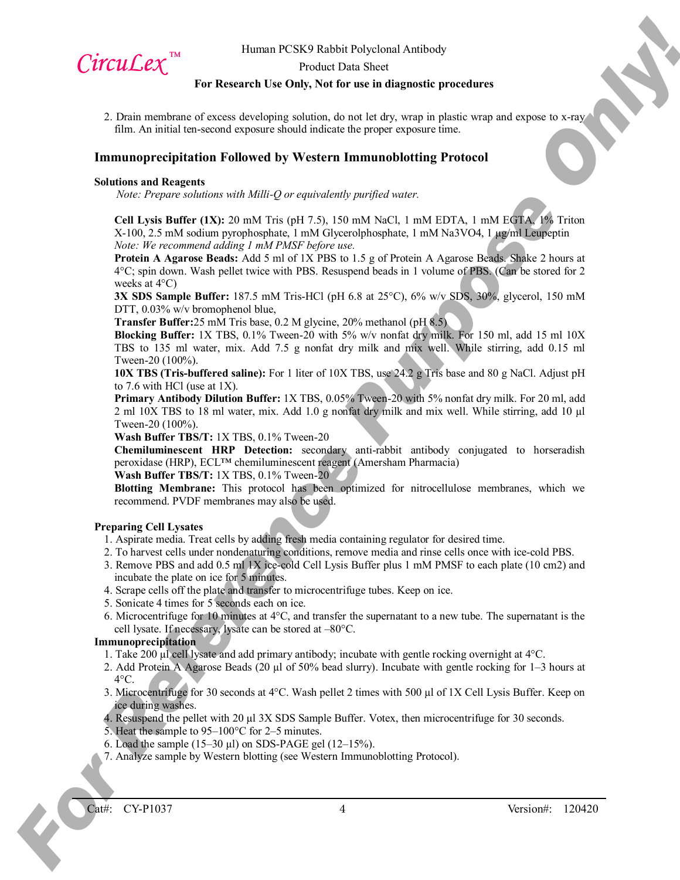

Product Data Sheet

## **For Research Use Only, Not for use in diagnostic procedures**

2. Drain membrane of excess developing solution, do not let dry, wrap in plastic wrap and expose to x-ray film. An initial ten-second exposure should indicate the proper exposure time.

# **Immunoprecipitation Followed by Western Immunoblotting Protocol**

#### **Solutions and Reagents**

*Note: Prepare solutions with Milli-Q or equivalently purified water.*

**Cell Lysis Buffer (1X):** 20 mM Tris (pH 7.5), 150 mM NaCl, 1 mM EDTA, 1 mM EGTA, 1% Triton X-100, 2.5 mM sodium pyrophosphate, 1 mM Glycerolphosphate, 1 mM Na3VO4, 1 µg/ml Leupeptin *Note: We recommend adding 1 mM PMSF before use.*

**Protein A Agarose Beads:** Add 5 ml of 1X PBS to 1.5 g of Protein A Agarose Beads. Shake 2 hours at 4°C; spin down. Wash pellet twice with PBS. Resuspend beads in 1 volume of PBS. (Can be stored for 2 weeks at 4°C)

**3X SDS Sample Buffer:** 187.5 mM Tris-HCl (pH 6.8 at 25°C), 6% w/v SDS, 30%, glycerol, 150 mM DTT, 0.03% w/v bromophenol blue,

**Transfer Buffer:**25 mM Tris base, 0.2 M glycine, 20% methanol (pH 8.5)

**CITCLICATE:** Herma FCSS Exhibit physicial Actives Only 2000 Sheet Constraints (measured by the Bossen Constraints) For Bossen Constraints (measured by the Constraints)  $\frac{1}{2}$  and  $\frac{1}{2}$  and  $\frac{1}{2}$  and  $\frac{1}{2}$  **Blocking Buffer:** 1X TBS, 0.1% Tween-20 with 5% w/v nonfat dry milk. For 150 ml, add 15 ml 10X TBS to 135 ml water, mix. Add 7.5 g nonfat dry milk and mix well. While stirring, add 0.15 ml Tween-20 (100%).

**10X TBS (Tris-buffered saline):** For 1 liter of 10X TBS, use 24.2 g Tris base and 80 g NaCl. Adjust pH to 7.6 with HCl (use at 1X).

**Primary Antibody Dilution Buffer:** 1X TBS, 0.05% Tween-20 with 5% nonfat dry milk. For 20 ml, add 2 ml 10X TBS to 18 ml water, mix. Add 1.0 g nonfat dry milk and mix well. While stirring, add 10 µl Tween-20 (100%).

**Wash Buffer TBS/T:** 1X TBS, 0.1% Tween-20

**Chemiluminescent HRP Detection:** secondary anti-rabbit antibody conjugated to horseradish peroxidase (HRP), ECL™ chemiluminescent reagent (Amersham Pharmacia)

**Wash Buffer TBS/T:** 1X TBS, 0.1% Tween-20

**Blotting Membrane:** This protocol has been optimized for nitrocellulose membranes, which we recommend. PVDF membranes may also be used.

#### **Preparing Cell Lysates**

- 1. Aspirate media. Treat cells by adding fresh media containing regulator for desired time.
- 2. To harvest cells under nondenaturing conditions, remove media and rinse cells once with ice-cold PBS.
- 3. Remove PBS and add 0.5 ml 1X ice-cold Cell Lysis Buffer plus 1 mM PMSF to each plate (10 cm2) and incubate the plate on ice for 5 minutes.
- 4. Scrape cells off the plate and transfer to microcentrifuge tubes. Keep on ice.
- 5. Sonicate 4 times for 5 seconds each on ice.
- 6. Microcentrifuge for 10 minutes at 4°C, and transfer the supernatant to a new tube. The supernatant is the cell lysate. If necessary, lysate can be stored at –80°C.

#### **Immunoprecipitation**

- 1. Take 200 µl cell lysate and add primary antibody; incubate with gentle rocking overnight at 4°C.
- 2. Add Protein A Agarose Beads (20 µl of 50% bead slurry). Incubate with gentle rocking for 1–3 hours at  $4^{\circ}$ C.
- 3. Microcentrifuge for 30 seconds at 4°C. Wash pellet 2 times with 500 µl of 1X Cell Lysis Buffer. Keep on ice during washes.
- 4. Resuspend the pellet with 20 µl 3X SDS Sample Buffer. Votex, then microcentrifuge for 30 seconds.
- 5. Heat the sample to 95–100°C for 2–5 minutes.
- 6. Load the sample  $(15-30 \mu l)$  on SDS-PAGE gel  $(12-15\%)$ .
- 7. Analyze sample by Western blotting (see Western Immunoblotting Protocol).